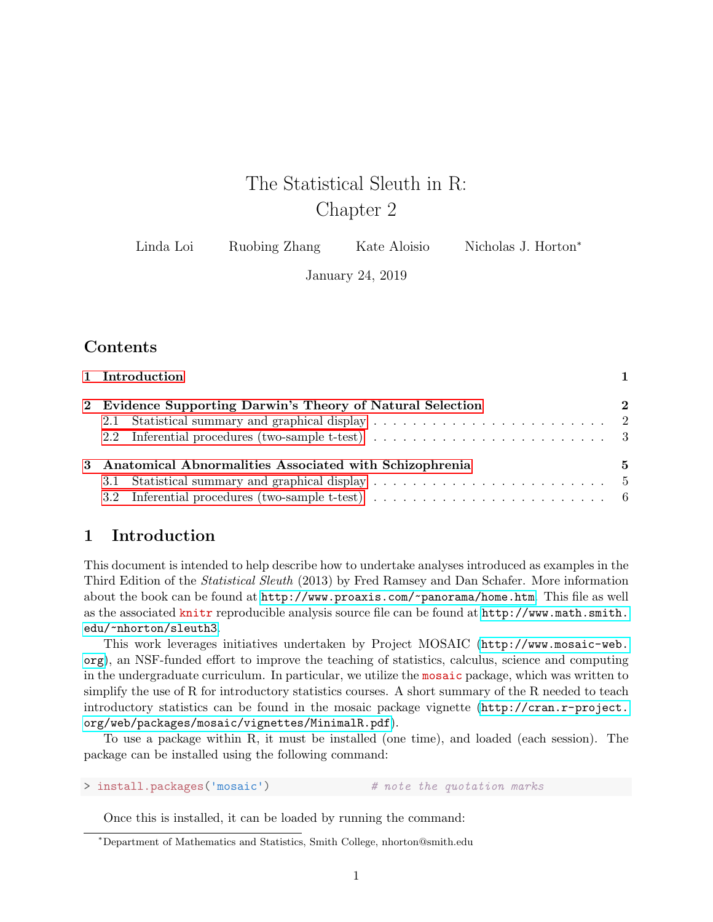# The Statistical Sleuth in R: Chapter 2

| Linda Loi<br>Ruobing Zhang | Kate Aloisio | Nicholas J. Horton <sup>*</sup> |
|----------------------------|--------------|---------------------------------|
|----------------------------|--------------|---------------------------------|

January 24, 2019

## Contents

|                                                          | 1 Introduction                                                                                                  |                            |  |  |
|----------------------------------------------------------|-----------------------------------------------------------------------------------------------------------------|----------------------------|--|--|
|                                                          | 2 Evidence Supporting Darwin's Theory of Natural Selection                                                      | $\boldsymbol{\mathcal{D}}$ |  |  |
|                                                          |                                                                                                                 |                            |  |  |
|                                                          | 2.2 Inferential procedures (two-sample t-test) $\ldots \ldots \ldots \ldots \ldots \ldots \ldots \ldots \ldots$ |                            |  |  |
| 3 Anatomical Abnormalities Associated with Schizophrenia |                                                                                                                 |                            |  |  |
|                                                          |                                                                                                                 |                            |  |  |
|                                                          | 3.2 Inferential procedures (two-sample t-test) $\ldots \ldots \ldots \ldots \ldots \ldots \ldots \ldots \ldots$ |                            |  |  |

## <span id="page-0-0"></span>1 Introduction

This document is intended to help describe how to undertake analyses introduced as examples in the Third Edition of the Statistical Sleuth (2013) by Fred Ramsey and Dan Schafer. More information about the book can be found at <http://www.proaxis.com/~panorama/home.htm>. This file as well as the associated knitr reproducible analysis source file can be found at [http://www.math.smith.](http://www.math.smith.edu/~nhorton/sleuth3) [edu/~nhorton/sleuth3](http://www.math.smith.edu/~nhorton/sleuth3).

This work leverages initiatives undertaken by Project MOSAIC ([http://www.mosaic-web.](http://www.mosaic-web.org) [org](http://www.mosaic-web.org)), an NSF-funded effort to improve the teaching of statistics, calculus, science and computing in the undergraduate curriculum. In particular, we utilize the mosaic package, which was written to simplify the use of R for introductory statistics courses. A short summary of the R needed to teach introductory statistics can be found in the mosaic package vignette ([http://cran.r-project.](http://cran.r-project.org/web/packages/mosaic/vignettes/MinimalR.pdf) [org/web/packages/mosaic/vignettes/MinimalR.pdf](http://cran.r-project.org/web/packages/mosaic/vignettes/MinimalR.pdf)).

To use a package within R, it must be installed (one time), and loaded (each session). The package can be installed using the following command:

> install.packages('mosaic') # note the quotation marks

Once this is installed, it can be loaded by running the command:

<sup>∗</sup>Department of Mathematics and Statistics, Smith College, nhorton@smith.edu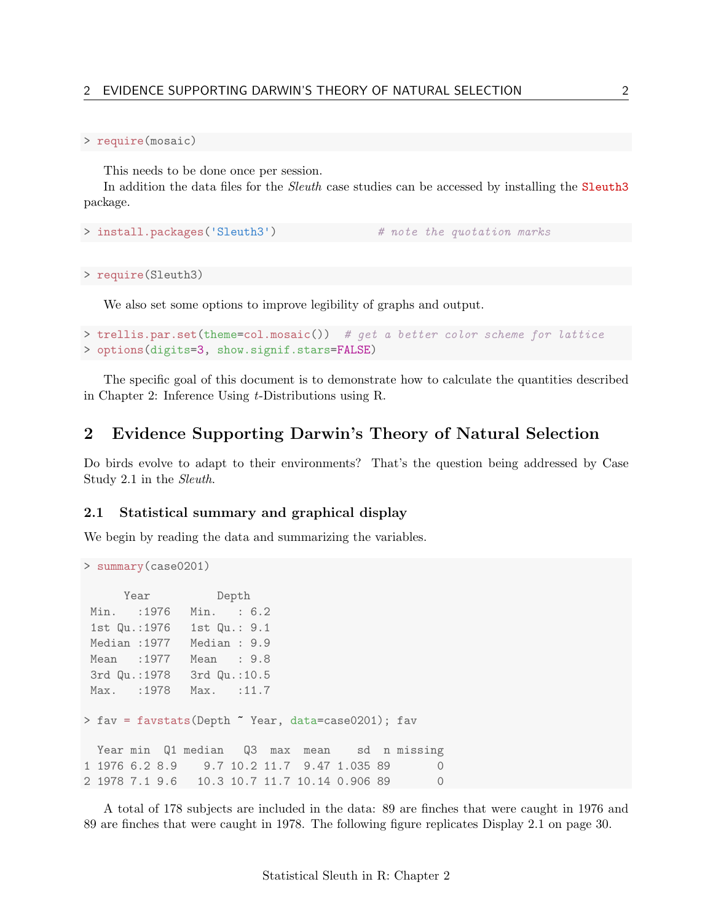#### > require(mosaic)

This needs to be done once per session.

In addition the data files for the *Sleuth* case studies can be accessed by installing the Sleuth3 package.

```
> install.packages('Sleuth3') # note the quotation marks
```
> require(Sleuth3)

We also set some options to improve legibility of graphs and output.

```
> trellis.par.set(theme=col.mosaic()) # get a better color scheme for lattice
> options(digits=3, show.signif.stars=FALSE)
```
The specific goal of this document is to demonstrate how to calculate the quantities described in Chapter 2: Inference Using t-Distributions using R.

### <span id="page-1-0"></span>2 Evidence Supporting Darwin's Theory of Natural Selection

Do birds evolve to adapt to their environments? That's the question being addressed by Case Study 2.1 in the Sleuth.

#### <span id="page-1-1"></span>2.1 Statistical summary and graphical display

We begin by reading the data and summarizing the variables.

```
> summary(case0201)
     Year Depth
Min. :1976 Min. : 6.2
1st Qu.:1976 1st Qu.: 9.1
Median :1977 Median : 9.9
Mean :1977 Mean : 9.8
3rd Qu.:1978 3rd Qu.:10.5
Max. :1978 Max. :11.7
> fav = favstats(Depth ~ Year, data=case0201); fav
 Year min Q1 median Q3 max mean sd n missing
1 1976 6.2 8.9 9.7 10.2 11.7 9.47 1.035 89 0
2 1978 7.1 9.6 10.3 10.7 11.7 10.14 0.906 89 0
```
A total of 178 subjects are included in the data: 89 are finches that were caught in 1976 and 89 are finches that were caught in 1978. The following figure replicates Display 2.1 on page 30.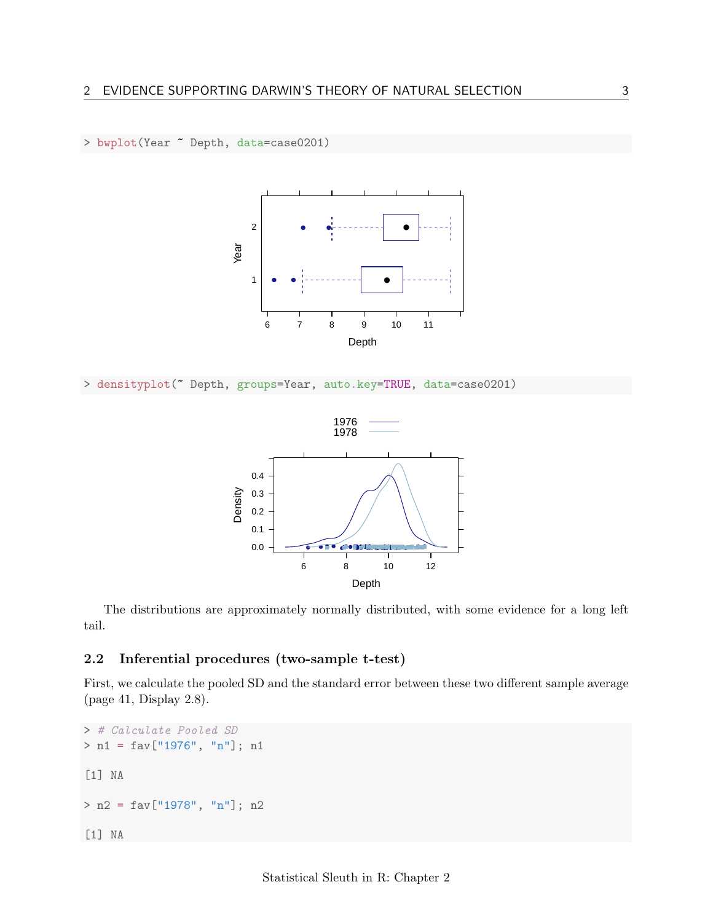



> densityplot(~ Depth, groups=Year, auto.key=TRUE, data=case0201)



The distributions are approximately normally distributed, with some evidence for a long left tail.

### <span id="page-2-0"></span>2.2 Inferential procedures (two-sample t-test)

First, we calculate the pooled SD and the standard error between these two different sample average (page 41, Display 2.8).

```
> # Calculate Pooled SD
> n1 = fav["1976", "n"]; n1
[1] NA
> n2 = fav["1978", "n"]; n2
[1] NA
```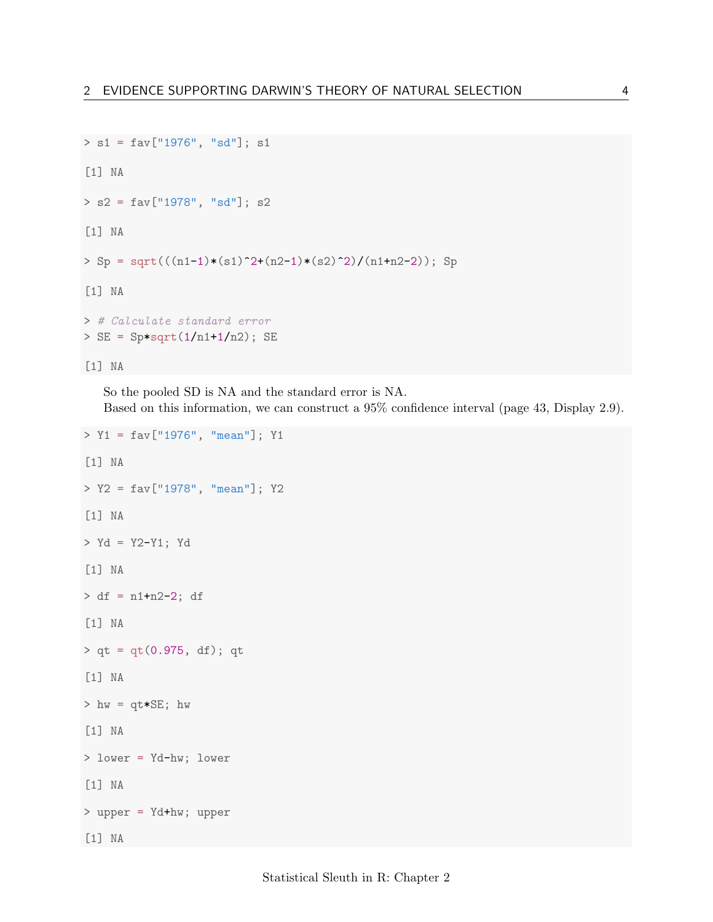```
> s1 = fav["1976", "sd"]; s1
[1] NA
> s2 = fav["1978", "sd"]; s2
[1] NA
> Sp = sqrt(((n1-1)*(s1)^2+(n2-1)*(s2)^2)/(n1+n2-2)); Sp
[1] NA
> # Calculate standard error
> SE = Sp*sqrt(1/n1+1/n2); SE[1] NA
```
So the pooled SD is NA and the standard error is NA. Based on this information, we can construct a 95% confidence interval (page 43, Display 2.9).

```
> Y1 = fav["1976", "mean"]; Y1
[1] NA
> Y2 = fav["1978", "mean"]; Y2
[1] NA
> Yd = Y2-Y1; Yd
[1] NA
> df = n1+n2-2; df
[1] NA
> qt = qt(0.975, df); qt[1] NA
> hw = qt*SE; hw[1] NA
> lower = Yd-hw; lower
[1] NA
> upper = Yd+hw; upper
[1] NA
```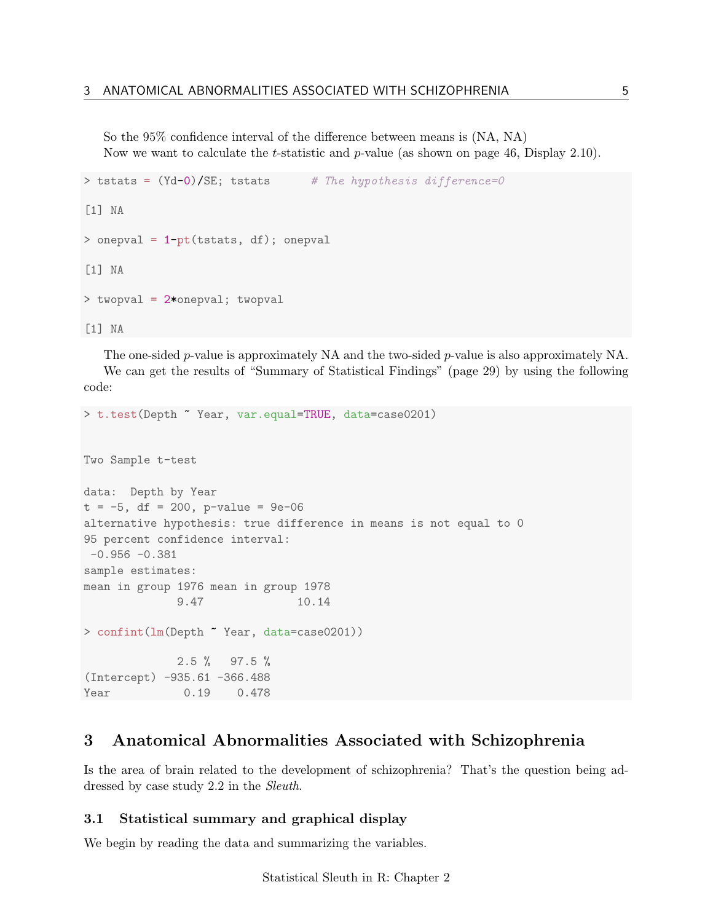So the 95% confidence interval of the difference between means is (NA, NA) Now we want to calculate the t-statistic and p-value (as shown on page 46, Display 2.10).

```
> tstats = (Yd-0)/SE; tstats # The hypothesis difference=0
[1] NA
> onepval = 1-pt(tstats, df); onepval
[1] NA
> twopval = 2*onepval; twopval
[1] NA
```
The one-sided p-value is approximately NA and the two-sided p-value is also approximately NA. We can get the results of "Summary of Statistical Findings" (page 29) by using the following code:

```
> t.test(Depth ~ Year, var.equal=TRUE, data=case0201)
Two Sample t-test
data: Depth by Year
t = -5, df = 200, p-value = 9e-06
alternative hypothesis: true difference in means is not equal to 0
95 percent confidence interval:
-0.956 - 0.381sample estimates:
mean in group 1976 mean in group 1978
             9.47 10.14
> confint(lm(Depth ~ Year, data=case0201))
             2.5 % 97.5 %
(Intercept) -935.61 -366.488
Year 0.19 0.478
```
### <span id="page-4-0"></span>3 Anatomical Abnormalities Associated with Schizophrenia

Is the area of brain related to the development of schizophrenia? That's the question being addressed by case study 2.2 in the Sleuth.

#### <span id="page-4-1"></span>3.1 Statistical summary and graphical display

We begin by reading the data and summarizing the variables.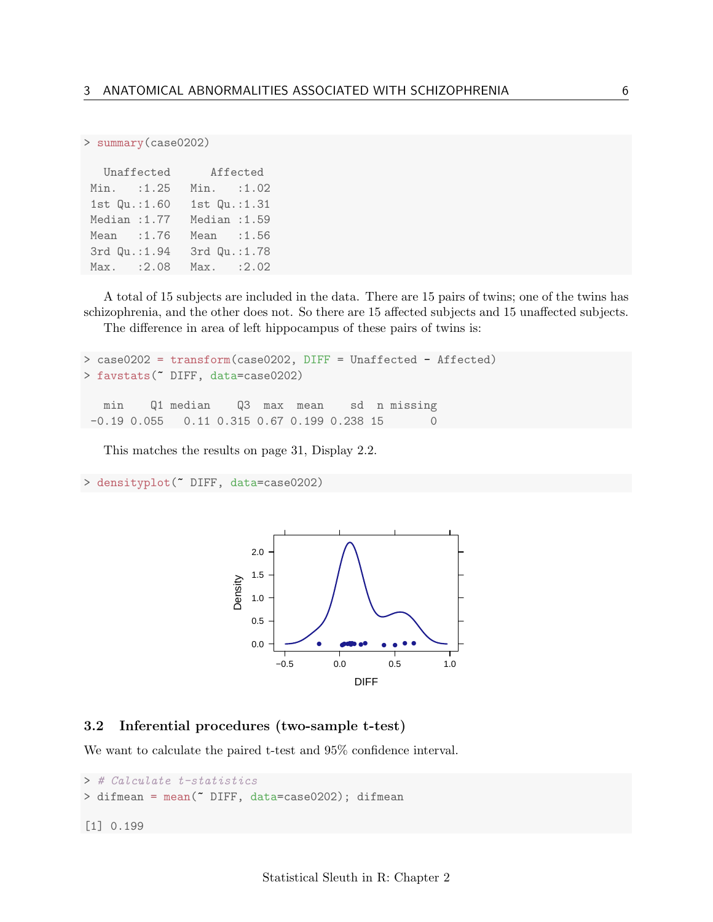> summary(case0202)

| Unaffected    |        |               | Affected |
|---------------|--------|---------------|----------|
| Min.          | : 1.25 | Min. : 1.02   |          |
| 1st Qu.:1.60  |        | 1st Qu.:1.31  |          |
| Median : 1.77 |        | Median : 1.59 |          |
| Mean          | : 1.76 | Mean : 1.56   |          |
| 3rd Qu.: 1.94 |        | 3rd Qu.:1.78  |          |
| Max.          | :2.08  | Max.          | : 2.02   |

A total of 15 subjects are included in the data. There are 15 pairs of twins; one of the twins has schizophrenia, and the other does not. So there are 15 affected subjects and 15 unaffected subjects.

The difference in area of left hippocampus of these pairs of twins is:

```
> case0202 = transform(case0202, DIFF = Unaffected - Affected)
> favstats(~ DIFF, data=case0202)
  min Q1 median Q3 max mean sd n missing
-0.19 0.055 0.11 0.315 0.67 0.199 0.238 15
```
This matches the results on page 31, Display 2.2.

```
> densityplot(~ DIFF, data=case0202)
```


#### <span id="page-5-0"></span>3.2 Inferential procedures (two-sample t-test)

We want to calculate the paired t-test and 95% confidence interval.

```
> # Calculate t-statistics
> difmean = mean(~ DIFF, data=case0202); difmean
[1] 0.199
```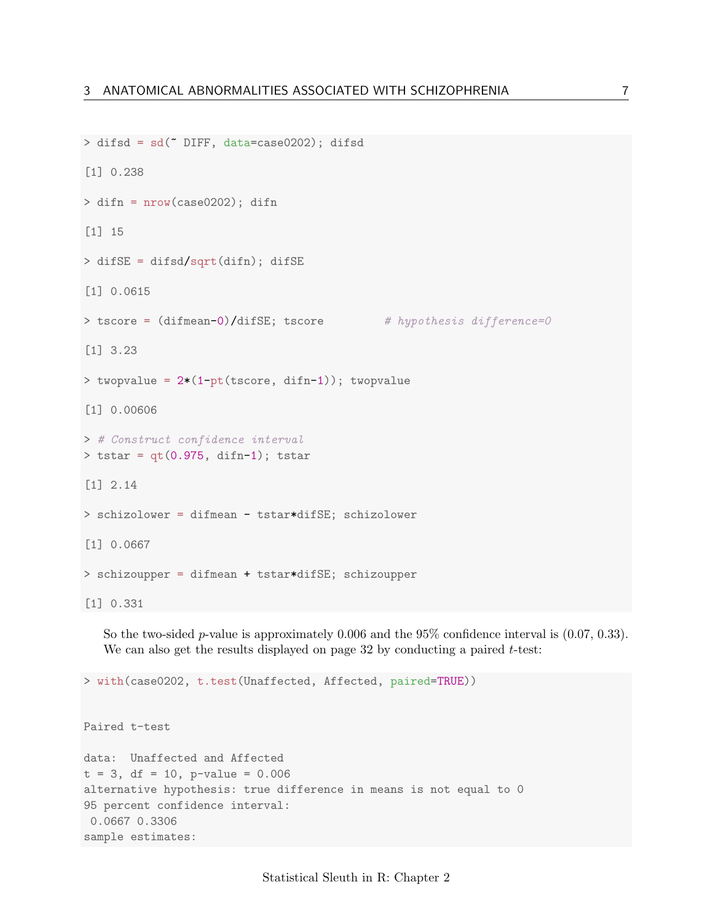```
> difsd = sd(~ DIFF, data=case0202); difsd
[1] 0.238
> difn = nrow(case0202); difn
[1] 15
> difSE = difsd/sqrt(difn); difSE
[1] 0.0615
> tscore = (difmean=0)/difSE; tscore # hypothesis difference=0
[1] 3.23
> twopvalue = 2*(1-pt(tscore, diff-1)); twopvalue
[1] 0.00606
> # Construct confidence interval
> tstar = qt(0.975, difn-1); tstar
[1] 2.14
> schizolower = difmean - tstar*difSE; schizolower
[1] 0.0667
> schizoupper = difmean + tstar*difSE; schizoupper
[1] 0.331
```
So the two-sided *p*-value is approximately 0.006 and the 95% confidence interval is  $(0.07, 0.33)$ . We can also get the results displayed on page 32 by conducting a paired  $t$ -test:

> with(case0202, t.test(Unaffected, Affected, paired=TRUE))

Paired t-test

```
data: Unaffected and Affected
t = 3, df = 10, p-value = 0.006
alternative hypothesis: true difference in means is not equal to 0
95 percent confidence interval:
0.0667 0.3306
sample estimates:
```